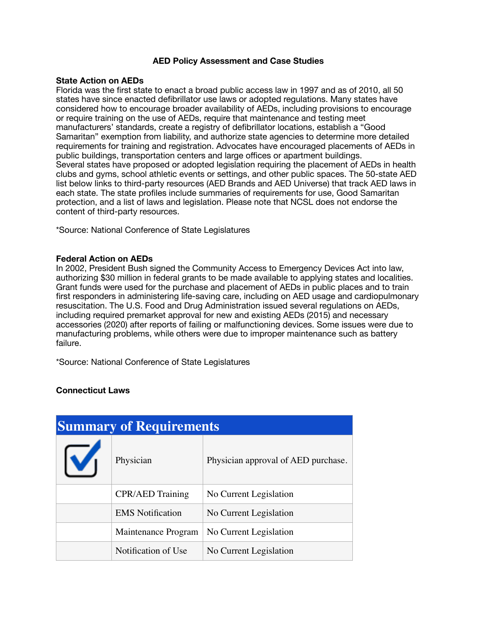# **AED Policy Assessment and Case Studies**

#### **State Action on AEDs**

Florida was the first state to enact a broad public access law in 1997 and as of 2010, all 50 states have since enacted defibrillator use laws or adopted regulations. Many states have considered how to encourage broader availability of AEDs, including provisions to encourage or require training on the use of AEDs, require that maintenance and testing meet manufacturers' standards, create a registry of defibrillator locations, establish a "Good Samaritan" exemption from liability, and authorize state agencies to determine more detailed requirements for training and registration. Advocates have encouraged placements of AEDs in public buildings, transportation centers and large offices or apartment buildings. Several states have proposed or adopted legislation requiring the placement of AEDs in health clubs and gyms, school athletic events or settings, and other public spaces. The 50-state AED list below links to third-party resources (AED Brands and AED Universe) that track AED laws in each state. The state profiles include summaries of requirements for use, Good Samaritan protection, and a list of laws and legislation. Please note that NCSL does not endorse the content of third-party resources.

\*Source: National Conference of State Legislatures

## **Federal Action on AEDs**

In 2002, President Bush signed the Community Access to Emergency Devices Act into law, authorizing \$30 million in federal grants to be made available to applying states and localities. Grant funds were used for the purchase and placement of AEDs in public places and to train first responders in administering life-saving care, including on AED usage and cardiopulmonary resuscitation. The U.S. Food and Drug Administration issued several regulations on AEDs, including required premarket approval for new and existing AEDs (2015) and necessary accessories (2020) after reports of failing or malfunctioning devices. Some issues were due to manufacturing problems, while others were due to improper maintenance such as battery failure.

\*Source: National Conference of State Legislatures

## **Connecticut Laws**

| <b>Summary of Requirements</b> |                         |                                     |  |  |
|--------------------------------|-------------------------|-------------------------------------|--|--|
| V                              | Physician               | Physician approval of AED purchase. |  |  |
|                                | <b>CPR/AED Training</b> | No Current Legislation              |  |  |
|                                | <b>EMS</b> Notification | No Current Legislation              |  |  |
|                                | Maintenance Program     | No Current Legislation              |  |  |
|                                | Notification of Use     | No Current Legislation              |  |  |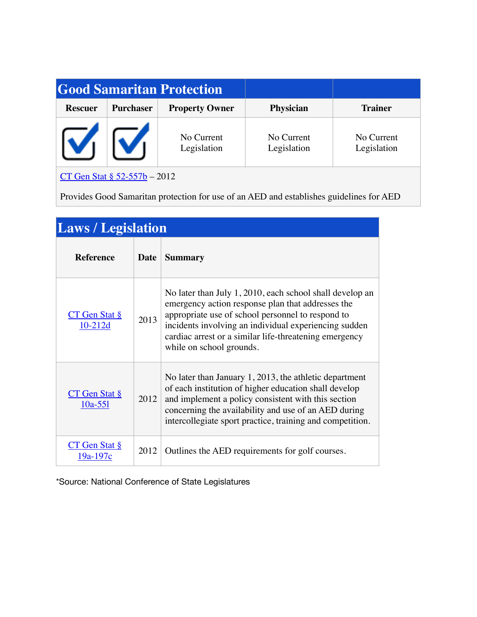|                                 |                  | <b>Good Samaritan Protection</b> |                           |                           |
|---------------------------------|------------------|----------------------------------|---------------------------|---------------------------|
| <b>Rescuer</b>                  | <b>Purchaser</b> | <b>Property Owner</b>            | <b>Physician</b>          | <b>Trainer</b>            |
|                                 |                  | No Current<br>Legislation        | No Current<br>Legislation | No Current<br>Legislation |
| CT Gen Stat $\S$ 52-557b – 2012 |                  |                                  |                           |                           |

Provides Good Samaritan protection for use of an AED and establishes guidelines for AED

| <b>Laws / Legislation</b>        |      |                                                                                                                                                                                                                                                                                                                   |  |  |
|----------------------------------|------|-------------------------------------------------------------------------------------------------------------------------------------------------------------------------------------------------------------------------------------------------------------------------------------------------------------------|--|--|
| <b>Reference</b>                 | Date | <b>Summary</b>                                                                                                                                                                                                                                                                                                    |  |  |
| $CT$ Gen Stat $\S$<br>$10-212d$  | 2013 | No later than July 1, 2010, each school shall develop an<br>emergency action response plan that addresses the<br>appropriate use of school personnel to respond to<br>incidents involving an individual experiencing sudden<br>cardiac arrest or a similar life-threatening emergency<br>while on school grounds. |  |  |
| $CT$ Gen Stat $\S$<br>$10a-551$  | 2012 | No later than January 1, 2013, the athletic department<br>of each institution of higher education shall develop<br>and implement a policy consistent with this section<br>concerning the availability and use of an AED during<br>intercollegiate sport practice, training and competition.                       |  |  |
| $CT$ Gen Stat $\S$<br>$19a-197c$ | 2012 | Outlines the AED requirements for golf courses.                                                                                                                                                                                                                                                                   |  |  |

\*Source: National Conference of State Legislatures

programs.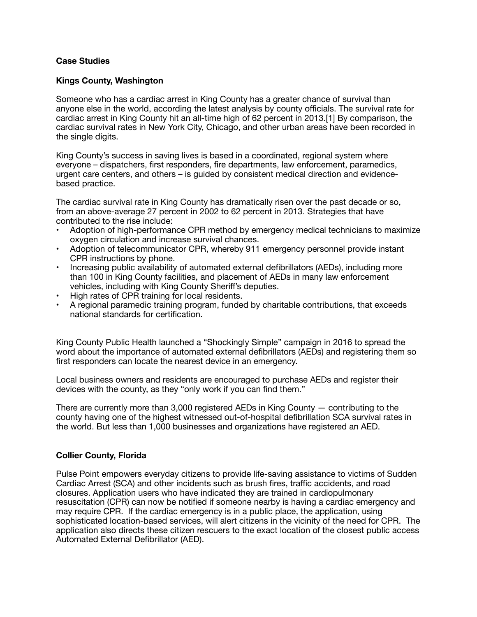# **Case Studies**

# **Kings County, Washington**

Someone who has a cardiac arrest in King County has a greater chance of survival than anyone else in the world, according the latest analysis by county officials. The survival rate for cardiac arrest in King County hit an all-time high of 62 percent in 2013.[1] By comparison, the cardiac survival rates in New York City, Chicago, and other urban areas have been recorded in the single digits.

King County's success in saving lives is based in a coordinated, regional system where everyone – dispatchers, first responders, fire departments, law enforcement, paramedics, urgent care centers, and others – is guided by consistent medical direction and evidencebased practice.

The cardiac survival rate in King County has dramatically risen over the past decade or so, from an above-average 27 percent in 2002 to 62 percent in 2013. Strategies that have contributed to the rise include:

- Adoption of high-performance CPR method by emergency medical technicians to maximize oxygen circulation and increase survival chances.
- Adoption of telecommunicator CPR, whereby 911 emergency personnel provide instant CPR instructions by phone.
- Increasing public availability of automated external defibrillators (AEDs), including more than 100 in King County facilities, and placement of AEDs in many law enforcement vehicles, including with King County Sheriff's deputies.
- High rates of CPR training for local residents.
- A regional paramedic training program, funded by charitable contributions, that exceeds national standards for certification.

King County Public Health launched a "Shockingly Simple" campaign in 2016 to spread the word about the importance of automated external defibrillators (AEDs) and registering them so first responders can locate the nearest device in an emergency.

Local business owners and residents are encouraged to purchase AEDs and register their devices with the county, as they "only work if you can find them."

There are currently more than 3,000 registered AEDs in King County — contributing to the county having one of the highest witnessed out-of-hospital defibrillation SCA survival rates in the world. But less than 1,000 businesses and organizations have registered an AED.

## **Collier County, Florida**

Pulse Point empowers everyday citizens to provide life-saving assistance to victims of Sudden Cardiac Arrest (SCA) and other incidents such as brush fires, traffic accidents, and road closures. Application users who have indicated they are trained in cardiopulmonary resuscitation (CPR) can now be notified if someone nearby is having a cardiac emergency and may require CPR. If the cardiac emergency is in a public place, the application, using sophisticated location-based services, will alert citizens in the vicinity of the need for CPR. The application also directs these citizen rescuers to the exact location of the closest public access Automated External Defibrillator (AED).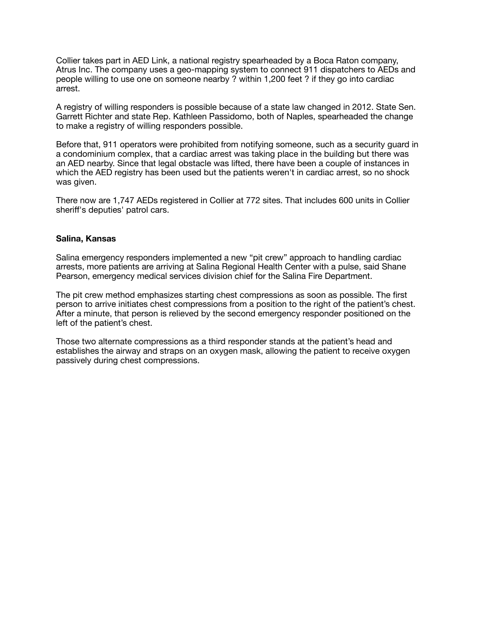Collier takes part in AED Link, a national registry spearheaded by a Boca Raton company, Atrus Inc. The company uses a geo-mapping system to connect 911 dispatchers to AEDs and people willing to use one on someone nearby ? within 1,200 feet ? if they go into cardiac arrest.

A registry of willing responders is possible because of a state law changed in 2012. State Sen. Garrett Richter and state Rep. Kathleen Passidomo, both of Naples, spearheaded the change to make a registry of willing responders possible.

Before that, 911 operators were prohibited from notifying someone, such as a security guard in a condominium complex, that a cardiac arrest was taking place in the building but there was an AED nearby. Since that legal obstacle was lifted, there have been a couple of instances in which the AED registry has been used but the patients weren't in cardiac arrest, so no shock was given.

There now are 1,747 AEDs registered in Collier at 772 sites. That includes 600 units in Collier sheriff's deputies' patrol cars.

#### **Salina, Kansas**

Salina emergency responders implemented a new "pit crew" approach to handling cardiac arrests, more patients are arriving at Salina Regional Health Center with a pulse, said Shane Pearson, emergency medical services division chief for the Salina Fire Department.

The pit crew method emphasizes starting chest compressions as soon as possible. The first person to arrive initiates chest compressions from a position to the right of the patient's chest. After a minute, that person is relieved by the second emergency responder positioned on the left of the patient's chest.

Those two alternate compressions as a third responder stands at the patient's head and establishes the airway and straps on an oxygen mask, allowing the patient to receive oxygen passively during chest compressions.